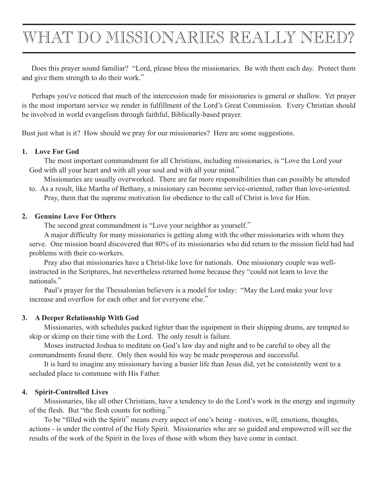# WHAT DO MISSIONARIES REALLY NEED?

 Does this prayer sound familiar? "Lord, please bless the missionaries. Be with them each day. Protect them and give them strength to do their work."

 Perhaps you've noticed that much of the intercession made for missionaries is general or shallow. Yet prayer is the most important service we render in fulfillment of the Lord's Great Commission. Every Christian should be involved in world evangelism through faithful, Biblically-based prayer.

Bust just what is it? How should we pray for our missionaries? Here are some suggestions.

#### **1. Love For God**

 The most important commandment for all Christians, including missionaries, is "Love the Lord your God with all your heart and with all your soul and with all your mind."

 Missionaries are usually overworked. There are far more responsibilities than can possibly be attended to. As a result, like Martha of Bethany, a missionary can become service-oriented, rather than love-oriented.

 Pray, them that the supreme motivation for obedience to the call of Christ is love for Him.

#### **2. Genuine Love For Others**

 The second great commandment is "Love your neighbor as yourself."

 A major difficulty for many missionaries is getting along with the other missionaries with whom they serve. One mission board discovered that 80% of its missionaries who did return to the mission field had had problems with their co-workers.

 Pray also that missionaries have a Christ-like love for nationals. One missionary couple was wellinstructed in the Scriptures, but nevertheless returned home because they "could not learn to love the nationals."

 Paul's prayer for the Thessalonian believers is a model for today: "May the Lord make your love increase and overflow for each other and for everyone else."

## **3. A Deeper Relationship With God**

 Missionaries, with schedules packed tighter than the equipment in their shipping drums, are tempted to skip or skimp on their time with the Lord. The only result is failure.

 Moses instructed Joshua to meditate on God's law day and night and to be careful to obey all the commandments found there. Only then would his way be made prosperous and successful.

 It is hard to imagine any missionary having a busier life than Jesus did, yet he consistently went to a secluded place to commune with His Father.

## **4. Spirit-Controlled Lives**

 Missionaries, like all other Christians, have a tendency to do the Lord's work in the energy and ingenuity of the flesh. But "the flesh counts for nothing."

 To be "filled with the Spirit" means every aspect of one's being - motives, will, emotions, thoughts, actions - is under the control of the Holy Spirit. Missionaries who are so guided and empowered will see the results of the work of the Spirit in the lives of those with whom they have come in contact.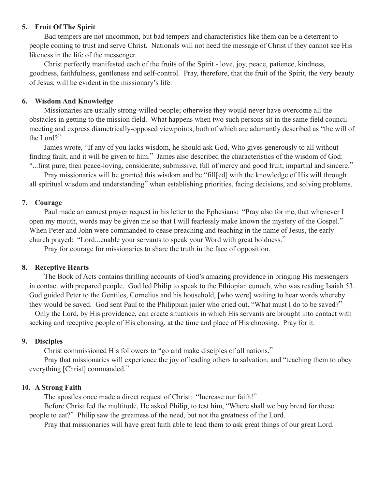## **5. Fruit Of The Spirit**

 Bad tempers are not uncommon, but bad tempers and characteristics like them can be a deterrent to people coming to trust and serve Christ. Nationals will not heed the message of Christ if they cannot see His likeness in the life of the messenger.

 Christ perfectly manifested each of the fruits of the Spirit - love, joy, peace, patience, kindness, goodness, faithfulness, gentleness and self-control. Pray, therefore, that the fruit of the Spirit, the very beauty of Jesus, will be evident in the missionary's life.

## **6. Wisdom And Knowledge**

 Missionaries are usually strong-willed people; otherwise they would never have overcome all the obstacles in getting to the mission field. What happens when two such persons sit in the same field council meeting and express diametrically-opposed viewpoints, both of which are adamantly described as "the will of the Lord?"

 James wrote, "If any of you lacks wisdom, he should ask God, Who gives generously to all without finding fault, and it will be given to him." James also described the characteristics of the wisdom of God:

"...first pure; then peace-loving, considerate, submissive, full of mercy and good fruit, impartial and sincere." Pray missionaries will be granted this wisdom and be "fill[ed] with the knowledge of His will through all spiritual wisdom and understanding" when establishing priorities, facing decisions, and solving problems.

## **7. Courage**

 Paul made an earnest prayer request in his letter to the Ephesians: "Pray also for me, that whenever I open my mouth, words may be given me so that I will fearlessly make known the mystery of the Gospel." When Peter and John were commanded to cease preaching and teaching in the name of Jesus, the early church prayed: "Lord...enable your servants to speak your Word with great boldness."

 Pray for courage for missionaries to share the truth in the face of opposition.

## **8. Receptive Hearts**

 The Book of Acts contains thrilling accounts of God's amazing providence in bringing His messengers in contact with prepared people. God led Philip to speak to the Ethiopian eunuch, who was reading Isaiah 53. God guided Peter to the Gentiles, Cornelius and his household, [who were] waiting to hear words whereby they would be saved. God sent Paul to the Philippian jailer who cried out. "What must I do to be saved?"

 Only the Lord, by His providence, can create situations in which His servants are brought into contact with seeking and receptive people of His choosing, at the time and place of His choosing. Pray for it.

# **9. Disciples**

 Christ commissioned His followers to "go and make disciples of all nations."

 Pray that missionaries will experience the joy of leading others to salvation, and "teaching them to obey everything [Christ] commanded."

## **10. A Strong Faith**

 The apostles once made a direct request of Christ: "Increase our faith!"

 Before Christ fed the multitude, He asked Philip, to test him, "Where shall we buy bread for these people to eat?" Philip saw the greatness of the need, but not the greatness of the Lord.

 Pray that missionaries will have great faith able to lead them to ask great things of our great Lord.